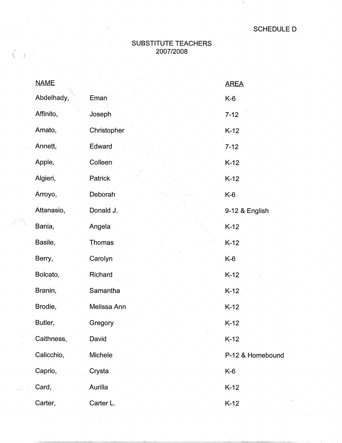## SUBSTITUTE TEACHERS 2007/2008

| <b>NAME</b> |             | <b>AREA</b>      |
|-------------|-------------|------------------|
| Abdelhady,  | Eman        | $K-6$            |
| Affinito,   | Joseph      | $7 - 12$         |
| Amato,      | Christopher | $K-12$           |
| Annett,     | Edward      | $7 - 12$         |
| Apple,      | Colleen     | $K-12$           |
| Algieri,    | Patrick     | $K-12$           |
| Arroyo,     | Deborah     | K-6              |
| Attanasio,  | Donald J.   | 9-12 & English   |
| Bania,      | Angela      | $K-12$           |
| Basile,     | Thomas      | $K-12$           |
| Berry,      | Carolyn     | $K-6$            |
| Bolcato,    | Richard     | $K-12$           |
| Branin,     | Samantha    | $K-12$           |
| Brodie,     | Melissa Ann | $K-12$           |
| Butler,     | Gregory     | $K-12$           |
| Caithness,  | David       | $K-12$           |
| Calicchio,  | Michele     | P-12 & Homebound |
| Caprio,     | Crysta      | $K-6$            |
| Card,       | Aurilla     | $K-12$           |
| Carter,     | Carter L.   | $K-12$           |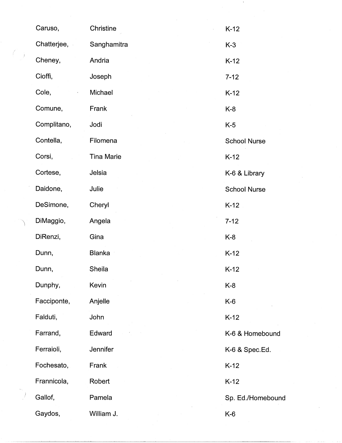|    | Caruso,     | Christine         | $K-12$              |
|----|-------------|-------------------|---------------------|
|    | Chatterjee, | Sanghamitra       | $K-3$               |
| Ĵ. | Cheney,     | Andria            | $K-12$              |
|    | Cioffi,     | Joseph            | $7 - 12$            |
|    | Cole,       | Michael           | $K-12$              |
|    | Comune,     | Frank             | $K-8$               |
|    | Complitano, | Jodi              | $K-5$               |
|    | Contella,   | Filomena          | <b>School Nurse</b> |
|    | Corsi,      | <b>Tina Marie</b> | $K-12$              |
|    | Cortese,    | Jelsia            | K-6 & Library       |
|    | Daidone,    | Julie             | <b>School Nurse</b> |
|    | DeSimone,   | Cheryl            | $K-12$              |
|    | DiMaggio,   | Angela            | $7 - 12$            |
|    | DiRenzi,    | Gina              | $K-8$               |
|    | Dunn,       | <b>Blanka</b>     | $K-12$              |
|    | Dunn,       | Sheila            | $K-12$              |
|    | Dunphy,     | Kevin             | $K-8$               |
|    | Facciponte, | Anjelle           | $K-6$               |
|    | Falduti,    | John              | $K-12$              |
|    | Farrand,    | Edward            | K-6 & Homebound     |
|    | Ferraioli,  | Jennifer          | K-6 & Spec.Ed.      |
|    | Fochesato,  | Frank             | $K-12$              |
|    | Frannicola, | Robert            | $K-12$              |
|    | Gallof,     | Pamela            | Sp. Ed./Homebound   |
|    | Gaydos,     | William J.        | K-6                 |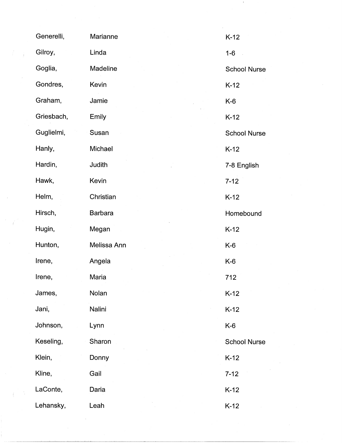|   | Generelli, | Marianne       | $K-12$              |
|---|------------|----------------|---------------------|
| ÷ | Gilroy,    | Linda          | $1 - 6$             |
|   | Goglia,    | Madeline       | <b>School Nurse</b> |
|   | Gondres,   | Kevin          | $K-12$              |
|   | Graham,    | Jamie          | $K-6$               |
|   | Griesbach, | Emily          | $K-12$              |
|   | Guglielmi, | Susan          | <b>School Nurse</b> |
|   | Hanly,     | Michael        | $K-12$              |
|   | Hardin,    | Judith         | 7-8 English         |
|   | Hawk,      | Kevin          | $7 - 12$            |
|   | Helm,      | Christian      | $K-12$              |
|   | Hirsch,    | <b>Barbara</b> | Homebound           |
|   | Hugin,     | Megan          | $K-12$              |
|   | Hunton,    | Melissa Ann    | $K-6$               |
|   | Irene,     | Angela         | $K-6$               |
|   | Irene,     | Maria          | 712                 |
|   | James,     | Nolan          | $K-12$              |
|   | Jani,      | Nalini         | $K-12$              |
|   | Johnson,   | Lynn           | K-6                 |
|   | Keseling,  | Sharon         | <b>School Nurse</b> |
|   | Klein,     | Donny          | $K-12$              |
|   | Kline,     | Gail           | $7 - 12$            |
|   | LaConte,   | Daria          | $K-12$              |
|   | Lehansky,  | Leah           | $K-12$              |

 $\sim 10^6$ 

 $\sim 10^{10}$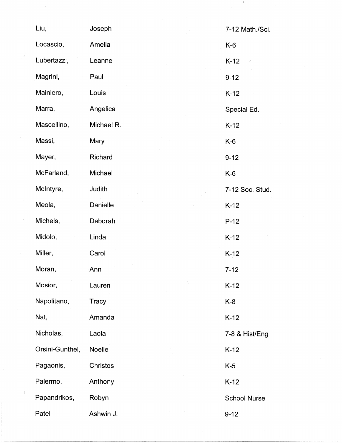| Liu,            | Joseph     | 7-12 Math./Sci.     |
|-----------------|------------|---------------------|
| Locascio,       | Amelia     | $K-6$               |
| Lubertazzi,     | Leanne     | $K-12$              |
| Magrini,        | Paul       | $9 - 12$            |
| Mainiero,       | Louis      | $K-12$              |
| Marra,          | Angelica   | Special Ed.         |
| Mascellino,     | Michael R. | $K-12$              |
| Massi,          | Mary       | $K-6$               |
| Mayer,          | Richard    | $9 - 12$            |
| McFarland,      | Michael    | K-6                 |
| McIntyre,       | Judith     | 7-12 Soc. Stud.     |
| Meola,          | Danielle   | $K-12$              |
| Michels,        | Deborah    | $P-12$              |
| Midolo,         | Linda      | $K-12$              |
| Miller,         | Carol      | $K-12$              |
| Moran,          | Ann        | $7 - 12$            |
| Mosior,         | Lauren     | $K-12$              |
| Napolitano,     | Tracy      | $K-8$               |
| Nat,            | Amanda     | $K-12$              |
| Nicholas,       | Laola      | 7-8 & Hist/Eng      |
| Orsini-Gunthel, | Noelle     | $K-12$              |
| Pagaonis,       | Christos   | $K-5$               |
| Palermo,        | Anthony    | $K-12$              |
| Papandrikos,    | Robyn      | <b>School Nurse</b> |
| Patel           | Ashwin J.  | $9 - 12$            |

 $\sim 1$  .

I *I* 

 $\Delta \phi$ 

N.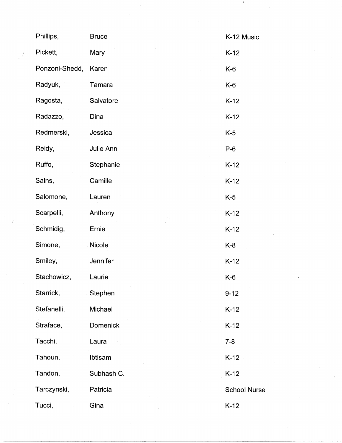| Phillips,      | <b>Bruce</b>    | K-12 Music          |
|----------------|-----------------|---------------------|
| Pickett,       | Mary            | $K-12$              |
| Ponzoni-Shedd, | Karen           | $K-6$               |
| Radyuk,        | Tamara          | $K-6$               |
| Ragosta,       | Salvatore       | $K-12$              |
| Radazzo,       | Dina            | $K-12$              |
| Redmerski,     | Jessica         | $K-5$               |
| Reidy,         | Julie Ann       | $P-6$               |
| Ruffo,         | Stephanie       | $K-12$              |
| Sains,         | Camille         | $K-12$              |
| Salomone,      | Lauren          | $K-5$               |
| Scarpelli,     | Anthony         | $K-12$              |
| Schmidig,      | Ernie           | $K-12$              |
| Simone,        | Nicole          | $K-8$               |
| Smiley,        | Jennifer        | $K-12$              |
| Stachowicz,    | Laurie          | $K-6$               |
| Starrick,      | Stephen         | $9 - 12$            |
| Stefanelli,    | Michael         | $K-12$              |
| Straface,      | <b>Domenick</b> | $K-12$              |
| Tacchi,        | Laura           | $7 - 8$             |
| Tahoun,        | Ibtisam         | $K-12$              |
| Tandon,        | Subhash C.      | $K-12$              |
| Tarczynski,    | Patricia        | <b>School Nurse</b> |
| Tucci,         | Gina            | $K-12$              |

 $\int_{\mathbb{R}^n} \frac{1}{\sqrt{2\pi}} \, \mathrm{d} \mu \, \mathrm{d} \mu \, \mathrm{d} \mu \, \mathrm{d} \mu \, \mathrm{d} \mu \, \mathrm{d} \mu \, \mathrm{d} \mu \, \mathrm{d} \mu \, \mathrm{d} \mu \, \mathrm{d} \mu \, \mathrm{d} \mu \, \mathrm{d} \mu \, \mathrm{d} \mu \, \mathrm{d} \mu \, \mathrm{d} \mu \, \mathrm{d} \mu \, \mathrm{d} \mu \, \mathrm{d} \mu \, \mathrm{d} \mu \, \mathrm{d} \mu \, \mathrm{d} \mu \, \mathrm{d}$ 

 $\label{eq:2} \frac{1}{\sqrt{2}}\sum_{i=1}^{N} \frac{1}{\sqrt{2}}\sum_{i=1}^{N} \frac{1}{\sqrt{2}}\sum_{i=1}^{N} \frac{1}{\sqrt{2}}\sum_{i=1}^{N} \frac{1}{\sqrt{2}}\sum_{i=1}^{N} \frac{1}{\sqrt{2}}\sum_{i=1}^{N} \frac{1}{\sqrt{2}}\sum_{i=1}^{N} \frac{1}{\sqrt{2}}\sum_{i=1}^{N} \frac{1}{\sqrt{2}}\sum_{i=1}^{N} \frac{1}{\sqrt{2}}\sum_{i=1}^{N} \frac{1}{\sqrt{2}}\sum_{$ 

 $\sim 1$ 

 $\frac{1}{\sqrt{2\pi}}\sum_{i=1}^{n-1}\frac{1}{\sqrt{2\pi}}\left(\frac{1}{\sqrt{2\pi}}\right)^2$ 

 $\sim$